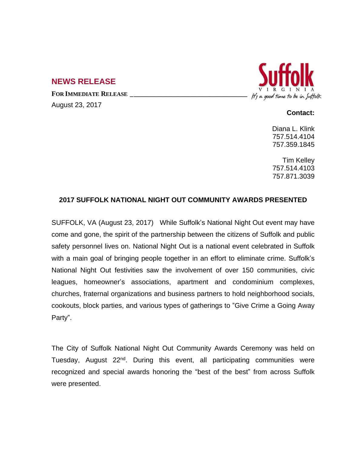# **NEWS RELEASE**

**FOR IMMEDIATE RELEASE \_\_\_\_\_\_\_\_\_\_\_\_\_\_\_\_\_\_\_\_\_\_\_\_\_\_\_\_\_\_\_\_\_\_**

August 23, 2017



### **Contact:**

Diana L. Klink 757.514.4104 757.359.1845

Tim Kelley 757.514.4103 757.871.3039

# **2017 SUFFOLK NATIONAL NIGHT OUT COMMUNITY AWARDS PRESENTED**

SUFFOLK, VA (August 23, 2017) While Suffolk's National Night Out event may have come and gone, the spirit of the partnership between the citizens of Suffolk and public safety personnel lives on. National Night Out is a national event celebrated in Suffolk with a main goal of bringing people together in an effort to eliminate crime. Suffolk's National Night Out festivities saw the involvement of over 150 communities, civic leagues, homeowner's associations, apartment and condominium complexes, churches, fraternal organizations and business partners to hold neighborhood socials, cookouts, block parties, and various types of gatherings to "Give Crime a Going Away Party".

The City of Suffolk National Night Out Community Awards Ceremony was held on Tuesday, August 22<sup>nd</sup>. During this event, all participating communities were recognized and special awards honoring the "best of the best" from across Suffolk were presented.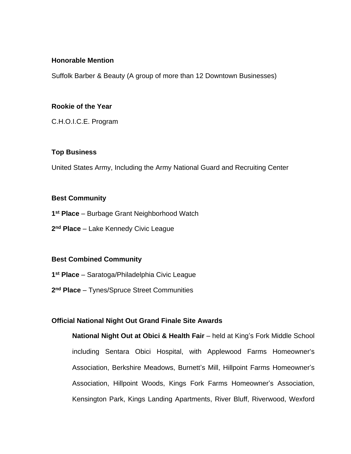### **Honorable Mention**

Suffolk Barber & Beauty (A group of more than 12 Downtown Businesses)

### **Rookie of the Year**

C.H.O.I.C.E. Program

# **Top Business**

United States Army, Including the Army National Guard and Recruiting Center

### **Best Community**

**1 st Place** – Burbage Grant Neighborhood Watch

**2 nd Place** – Lake Kennedy Civic League

# **Best Combined Community**

- **1 st Place** Saratoga/Philadelphia Civic League
- **2 nd Place**  Tynes/Spruce Street Communities

# **Official National Night Out Grand Finale Site Awards**

**National Night Out at Obici & Health Fair** – held at King's Fork Middle School including Sentara Obici Hospital, with Applewood Farms Homeowner's Association, Berkshire Meadows, Burnett's Mill, Hillpoint Farms Homeowner's Association, Hillpoint Woods, Kings Fork Farms Homeowner's Association, Kensington Park, Kings Landing Apartments, River Bluff, Riverwood, Wexford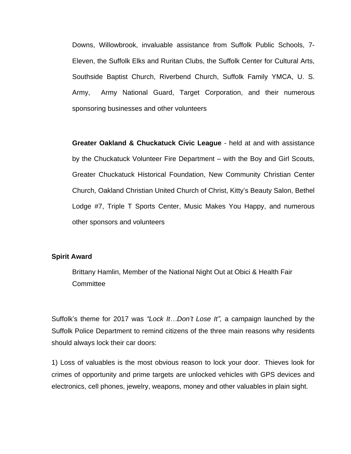Downs, Willowbrook, invaluable assistance from Suffolk Public Schools, 7- Eleven, the Suffolk Elks and Ruritan Clubs, the Suffolk Center for Cultural Arts, Southside Baptist Church, Riverbend Church, Suffolk Family YMCA, U. S. Army, Army National Guard, Target Corporation, and their numerous sponsoring businesses and other volunteers

**Greater Oakland & Chuckatuck Civic League** - held at and with assistance by the Chuckatuck Volunteer Fire Department – with the Boy and Girl Scouts, Greater Chuckatuck Historical Foundation, New Community Christian Center Church, Oakland Christian United Church of Christ, Kitty's Beauty Salon, Bethel Lodge #7, Triple T Sports Center, Music Makes You Happy, and numerous other sponsors and volunteers

#### **Spirit Award**

Brittany Hamlin, Member of the National Night Out at Obici & Health Fair **Committee** 

Suffolk's theme for 2017 was *"Lock It…Don't Lose It",* a campaign launched by the Suffolk Police Department to remind citizens of the three main reasons why residents should always lock their car doors:

1) Loss of valuables is the most obvious reason to lock your door. Thieves look for crimes of opportunity and prime targets are unlocked vehicles with GPS devices and electronics, cell phones, jewelry, weapons, money and other valuables in plain sight.